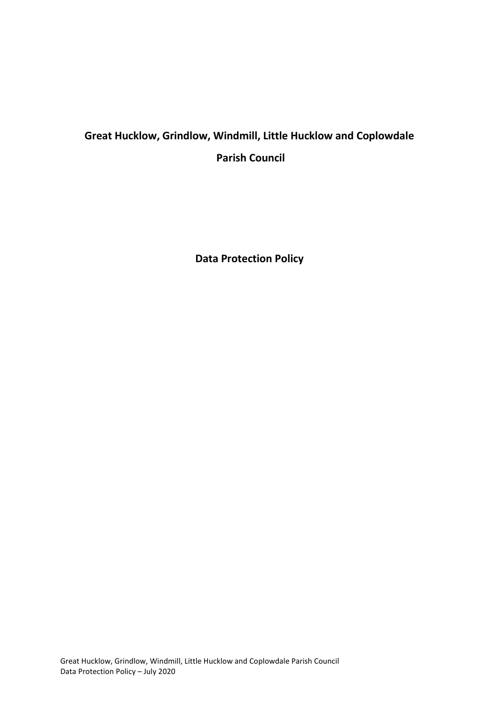# **Great Hucklow, Grindlow, Windmill, Little Hucklow and Coplowdale Parish Council**

**Data Protection Policy**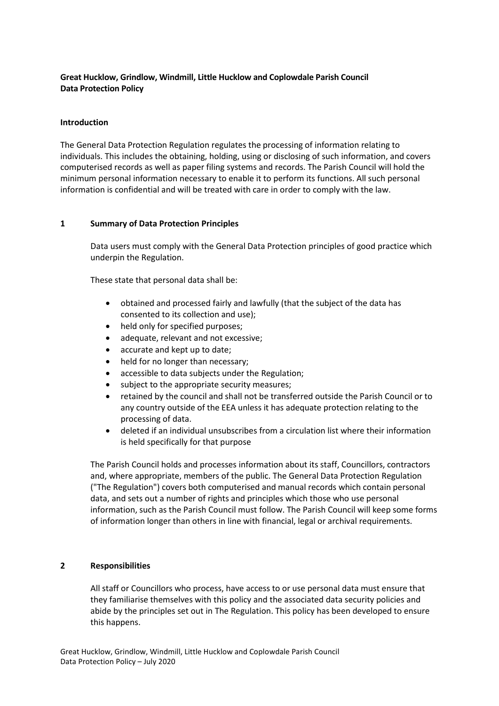## **Great Hucklow, Grindlow, Windmill, Little Hucklow and Coplowdale Parish Council Data Protection Policy**

#### **Introduction**

The General Data Protection Regulation regulates the processing of information relating to individuals. This includes the obtaining, holding, using or disclosing of such information, and covers computerised records as well as paper filing systems and records. The Parish Council will hold the minimum personal information necessary to enable it to perform its functions. All such personal information is confidential and will be treated with care in order to comply with the law.

### **1 Summary of Data Protection Principles**

Data users must comply with the General Data Protection principles of good practice which underpin the Regulation.

These state that personal data shall be:

- obtained and processed fairly and lawfully (that the subject of the data has consented to its collection and use);
- held only for specified purposes;
- adequate, relevant and not excessive;
- accurate and kept up to date;
- held for no longer than necessary;
- accessible to data subjects under the Regulation;
- subject to the appropriate security measures;
- retained by the council and shall not be transferred outside the Parish Council or to any country outside of the EEA unless it has adequate protection relating to the processing of data.
- deleted if an individual unsubscribes from a circulation list where their information is held specifically for that purpose

The Parish Council holds and processes information about its staff, Councillors, contractors and, where appropriate, members of the public. The General Data Protection Regulation ("The Regulation") covers both computerised and manual records which contain personal data, and sets out a number of rights and principles which those who use personal information, such as the Parish Council must follow. The Parish Council will keep some forms of information longer than others in line with financial, legal or archival requirements.

## **2 Responsibilities**

All staff or Councillors who process, have access to or use personal data must ensure that they familiarise themselves with this policy and the associated data security policies and abide by the principles set out in The Regulation. This policy has been developed to ensure this happens.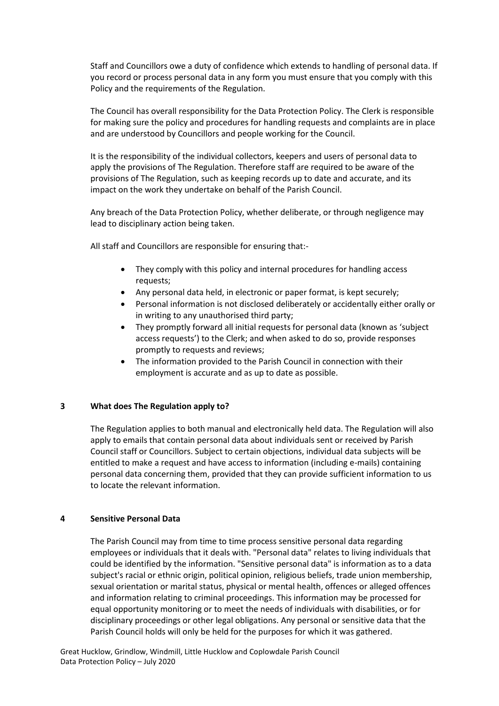Staff and Councillors owe a duty of confidence which extends to handling of personal data. If you record or process personal data in any form you must ensure that you comply with this Policy and the requirements of the Regulation.

The Council has overall responsibility for the Data Protection Policy. The Clerk is responsible for making sure the policy and procedures for handling requests and complaints are in place and are understood by Councillors and people working for the Council.

It is the responsibility of the individual collectors, keepers and users of personal data to apply the provisions of The Regulation. Therefore staff are required to be aware of the provisions of The Regulation, such as keeping records up to date and accurate, and its impact on the work they undertake on behalf of the Parish Council.

Any breach of the Data Protection Policy, whether deliberate, or through negligence may lead to disciplinary action being taken.

All staff and Councillors are responsible for ensuring that:-

- They comply with this policy and internal procedures for handling access requests;
- Any personal data held, in electronic or paper format, is kept securely;
- Personal information is not disclosed deliberately or accidentally either orally or in writing to any unauthorised third party;
- They promptly forward all initial requests for personal data (known as 'subject access requests') to the Clerk; and when asked to do so, provide responses promptly to requests and reviews;
- The information provided to the Parish Council in connection with their employment is accurate and as up to date as possible.

#### **3 What does The Regulation apply to?**

The Regulation applies to both manual and electronically held data. The Regulation will also apply to emails that contain personal data about individuals sent or received by Parish Council staff or Councillors. Subject to certain objections, individual data subjects will be entitled to make a request and have access to information (including e-mails) containing personal data concerning them, provided that they can provide sufficient information to us to locate the relevant information.

#### **4 Sensitive Personal Data**

The Parish Council may from time to time process sensitive personal data regarding employees or individuals that it deals with. "Personal data" relates to living individuals that could be identified by the information. "Sensitive personal data" is information as to a data subject's racial or ethnic origin, political opinion, religious beliefs, trade union membership, sexual orientation or marital status, physical or mental health, offences or alleged offences and information relating to criminal proceedings. This information may be processed for equal opportunity monitoring or to meet the needs of individuals with disabilities, or for disciplinary proceedings or other legal obligations. Any personal or sensitive data that the Parish Council holds will only be held for the purposes for which it was gathered.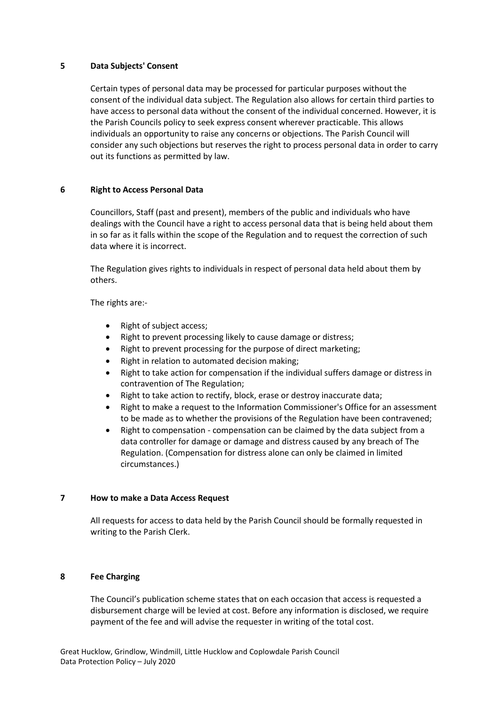#### **5 Data Subjects' Consent**

Certain types of personal data may be processed for particular purposes without the consent of the individual data subject. The Regulation also allows for certain third parties to have access to personal data without the consent of the individual concerned. However, it is the Parish Councils policy to seek express consent wherever practicable. This allows individuals an opportunity to raise any concerns or objections. The Parish Council will consider any such objections but reserves the right to process personal data in order to carry out its functions as permitted by law.

#### **6 Right to Access Personal Data**

Councillors, Staff (past and present), members of the public and individuals who have dealings with the Council have a right to access personal data that is being held about them in so far as it falls within the scope of the Regulation and to request the correction of such data where it is incorrect.

The Regulation gives rights to individuals in respect of personal data held about them by others.

The rights are:-

- Right of subject access;
- Right to prevent processing likely to cause damage or distress;
- Right to prevent processing for the purpose of direct marketing;
- Right in relation to automated decision making;
- Right to take action for compensation if the individual suffers damage or distress in contravention of The Regulation;
- Right to take action to rectify, block, erase or destroy inaccurate data;
- Right to make a request to the Information Commissioner's Office for an assessment to be made as to whether the provisions of the Regulation have been contravened;
- Right to compensation compensation can be claimed by the data subject from a data controller for damage or damage and distress caused by any breach of The Regulation. (Compensation for distress alone can only be claimed in limited circumstances.)

#### **7 How to make a Data Access Request**

All requests for access to data held by the Parish Council should be formally requested in writing to the Parish Clerk.

#### **8 Fee Charging**

The Council's publication scheme states that on each occasion that access is requested a disbursement charge will be levied at cost. Before any information is disclosed, we require payment of the fee and will advise the requester in writing of the total cost.